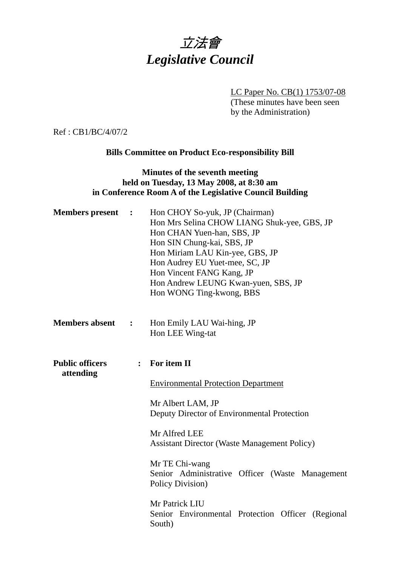# 立法會 *Legislative Council*

LC Paper No. CB(1) 1753/07-08

(These minutes have been seen by the Administration)

Ref : CB1/BC/4/07/2

## **Bills Committee on Product Eco-responsibility Bill**

#### **Minutes of the seventh meeting held on Tuesday, 13 May 2008, at 8:30 am in Conference Room A of the Legislative Council Building**

| <b>Members</b> present              | $\ddot{\phantom{1}}$ | Hon CHOY So-yuk, JP (Chairman)<br>Hon Mrs Selina CHOW LIANG Shuk-yee, GBS, JP<br>Hon CHAN Yuen-han, SBS, JP<br>Hon SIN Chung-kai, SBS, JP<br>Hon Miriam LAU Kin-yee, GBS, JP<br>Hon Audrey EU Yuet-mee, SC, JP<br>Hon Vincent FANG Kang, JP<br>Hon Andrew LEUNG Kwan-yuen, SBS, JP<br>Hon WONG Ting-kwong, BBS   |
|-------------------------------------|----------------------|------------------------------------------------------------------------------------------------------------------------------------------------------------------------------------------------------------------------------------------------------------------------------------------------------------------|
| <b>Members absent</b>               | $\ddot{\cdot}$       | Hon Emily LAU Wai-hing, JP<br>Hon LEE Wing-tat                                                                                                                                                                                                                                                                   |
| <b>Public officers</b><br>attending | $\ddot{\cdot}$       | For item II<br><b>Environmental Protection Department</b><br>Mr Albert LAM, JP<br>Deputy Director of Environmental Protection<br>Mr Alfred LEE<br><b>Assistant Director (Waste Management Policy)</b><br>Mr TE Chi-wang<br>Senior Administrative Officer (Waste Management<br>Policy Division)<br>Mr Patrick LIU |
|                                     |                      | Senior Environmental Protection Officer (Regional<br>South)                                                                                                                                                                                                                                                      |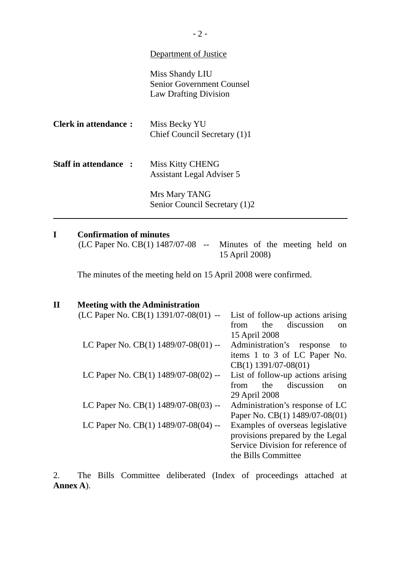#### Department of Justice

Miss Shandy LIU Senior Government Counsel Law Drafting Division

| <b>Clerk in attendance:</b> | Miss Becky YU                |
|-----------------------------|------------------------------|
|                             | Chief Council Secretary (1)1 |

**Staff in attendance :** Miss Kitty CHENG Assistant Legal Adviser 5

> Mrs Mary TANG Senior Council Secretary (1)2

#### **I Confirmation of minutes**

l

(LC Paper No. CB(1) 1487/07-08 -- Minutes of the meeting held on 15 April 2008)

The minutes of the meeting held on 15 April 2008 were confirmed.

| $\mathbf{I}$ | <b>Meeting with the Administration</b>     |                                            |
|--------------|--------------------------------------------|--------------------------------------------|
|              | (LC Paper No. CB(1) $1391/07-08(01)$ --    | List of follow-up actions arising          |
|              |                                            | discussion<br>the<br>from<br><sub>on</sub> |
|              |                                            | 15 April 2008                              |
|              | LC Paper No. CB $(1)$ 1489/07-08 $(01)$ -- | Administration's<br>response<br>to         |
|              |                                            | items 1 to 3 of LC Paper No.               |
|              |                                            | $CB(1)$ 1391/07-08(01)                     |
|              | LC Paper No. CB(1) $1489/07-08(02)$ --     | List of follow-up actions arising          |
|              |                                            | discussion<br>the<br>from<br><sub>on</sub> |
|              |                                            | 29 April 2008                              |
|              | LC Paper No. CB(1) 1489/07-08(03) --       | Administration's response of LC            |
|              |                                            | Paper No. CB(1) 1489/07-08(01)             |
|              | LC Paper No. CB(1) 1489/07-08(04) --       | Examples of overseas legislative           |
|              |                                            | provisions prepared by the Legal           |
|              |                                            | Service Division for reference of          |
|              |                                            | the Bills Committee                        |

2. The Bills Committee deliberated (Index of proceedings attached at **Annex A**).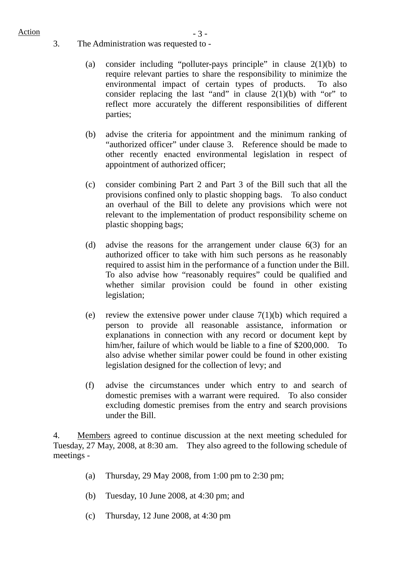# $Action$   $-3 -$

- 3. The Administration was requested to
	- (a) consider including "polluter-pays principle" in clause 2(1)(b) to require relevant parties to share the responsibility to minimize the environmental impact of certain types of products. To also consider replacing the last "and" in clause  $2(1)(b)$  with "or" to reflect more accurately the different responsibilities of different parties;
	- (b) advise the criteria for appointment and the minimum ranking of "authorized officer" under clause 3. Reference should be made to other recently enacted environmental legislation in respect of appointment of authorized officer;
	- (c) consider combining Part 2 and Part 3 of the Bill such that all the provisions confined only to plastic shopping bags. To also conduct an overhaul of the Bill to delete any provisions which were not relevant to the implementation of product responsibility scheme on plastic shopping bags:
	- (d) advise the reasons for the arrangement under clause 6(3) for an authorized officer to take with him such persons as he reasonably required to assist him in the performance of a function under the Bill. To also advise how "reasonably requires" could be qualified and whether similar provision could be found in other existing legislation;
	- (e) review the extensive power under clause  $7(1)(b)$  which required a person to provide all reasonable assistance, information or explanations in connection with any record or document kept by him/her, failure of which would be liable to a fine of \$200,000. To also advise whether similar power could be found in other existing legislation designed for the collection of levy; and
	- (f) advise the circumstances under which entry to and search of domestic premises with a warrant were required. To also consider excluding domestic premises from the entry and search provisions under the Bill.

4. Members agreed to continue discussion at the next meeting scheduled for Tuesday, 27 May, 2008, at 8:30 am. They also agreed to the following schedule of meetings -

- (a) Thursday, 29 May 2008, from 1:00 pm to 2:30 pm;
- (b) Tuesday, 10 June 2008, at 4:30 pm; and
- (c) Thursday, 12 June 2008, at 4:30 pm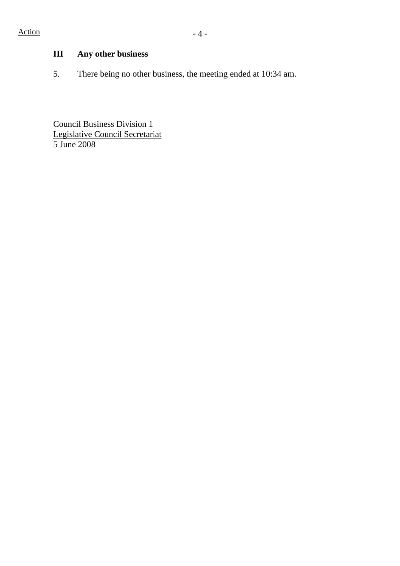### **III Any other business**

5. There being no other business, the meeting ended at 10:34 am.

Council Business Division 1 Legislative Council Secretariat 5 June 2008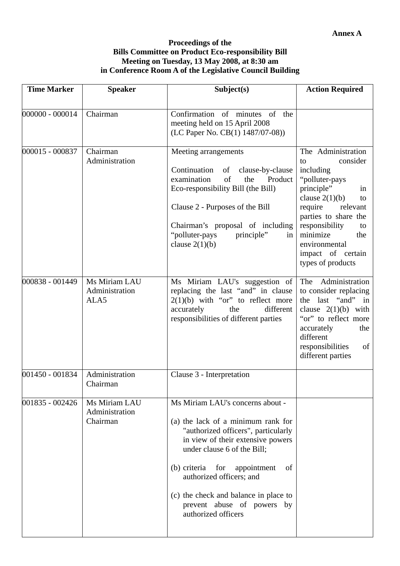#### **Proceedings of the Bills Committee on Product Eco-responsibility Bill Meeting on Tuesday, 13 May 2008, at 8:30 am in Conference Room A of the Legislative Council Building**

| <b>Time Marker</b> | <b>Speaker</b>                              | Subject(s)                                                                                                                                                                                                                                                                                                                                              | <b>Action Required</b>                                                                                                                                                                                                                                                 |
|--------------------|---------------------------------------------|---------------------------------------------------------------------------------------------------------------------------------------------------------------------------------------------------------------------------------------------------------------------------------------------------------------------------------------------------------|------------------------------------------------------------------------------------------------------------------------------------------------------------------------------------------------------------------------------------------------------------------------|
| 000000 - 000014    | Chairman                                    | Confirmation of minutes of the<br>meeting held on 15 April 2008<br>(LC Paper No. CB(1) 1487/07-08))                                                                                                                                                                                                                                                     |                                                                                                                                                                                                                                                                        |
| 000015 - 000837    | Chairman<br>Administration                  | Meeting arrangements<br>Continuation<br>clause-by-clause<br>of<br>of<br>examination<br>the<br>Product<br>Eco-responsibility Bill (the Bill)<br>Clause 2 - Purposes of the Bill<br>Chairman's proposal of including<br>"polluter-pays<br>principle"<br>in<br>clause $2(1)(b)$                                                                            | The Administration<br>consider<br>to<br>including<br>"polluter-pays<br>principle"<br>in<br>clause $2(1)(b)$<br>to<br>require<br>relevant<br>parties to share the<br>responsibility<br>to<br>minimize<br>the<br>environmental<br>impact of certain<br>types of products |
| 000838 - 001449    | Ms Miriam LAU<br>Administration<br>ALA5     | Ms Miriam LAU's suggestion of<br>replacing the last "and" in clause<br>$2(1)(b)$ with "or" to reflect more<br>different<br>accurately<br>the<br>responsibilities of different parties                                                                                                                                                                   | Administration<br>The<br>to consider replacing<br>the last "and"<br>in<br>clause $2(1)(b)$ with<br>"or" to reflect more<br>accurately<br>the<br>different<br>responsibilities<br>of<br>different parties                                                               |
| 001450 - 001834    | Administration<br>Chairman                  | Clause 3 - Interpretation                                                                                                                                                                                                                                                                                                                               |                                                                                                                                                                                                                                                                        |
| 001835 - 002426    | Ms Miriam LAU<br>Administration<br>Chairman | Ms Miriam LAU's concerns about -<br>(a) the lack of a minimum rank for<br>"authorized officers", particularly<br>in view of their extensive powers<br>under clause 6 of the Bill;<br>(b) criteria<br>for<br>appointment<br>of<br>authorized officers; and<br>(c) the check and balance in place to<br>prevent abuse of powers by<br>authorized officers |                                                                                                                                                                                                                                                                        |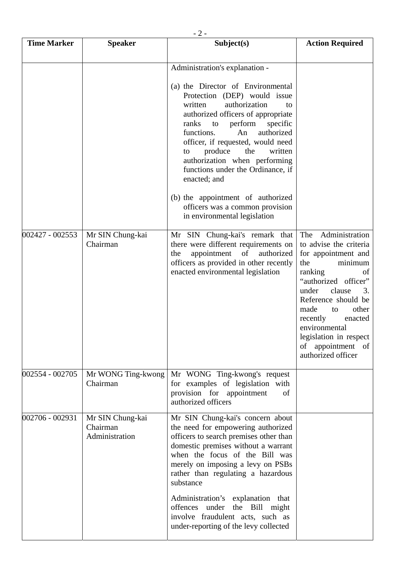|                    | $-2-$                                          |                                                                                                                                                                                                                                                                                   |                                                                                                                                                                                                                                                                                                                       |  |
|--------------------|------------------------------------------------|-----------------------------------------------------------------------------------------------------------------------------------------------------------------------------------------------------------------------------------------------------------------------------------|-----------------------------------------------------------------------------------------------------------------------------------------------------------------------------------------------------------------------------------------------------------------------------------------------------------------------|--|
| <b>Time Marker</b> | <b>Speaker</b>                                 | Subject(s)                                                                                                                                                                                                                                                                        | <b>Action Required</b>                                                                                                                                                                                                                                                                                                |  |
|                    |                                                | Administration's explanation -<br>(a) the Director of Environmental<br>Protection (DEP) would issue<br>authorization<br>written<br>to<br>authorized officers of appropriate<br>perform<br>ranks<br>specific<br>to<br>functions.<br>authorized<br>An                               |                                                                                                                                                                                                                                                                                                                       |  |
|                    |                                                | officer, if requested, would need<br>produce<br>the<br>written<br>to<br>authorization when performing<br>functions under the Ordinance, if<br>enacted; and<br>(b) the appointment of authorized                                                                                   |                                                                                                                                                                                                                                                                                                                       |  |
|                    |                                                | officers was a common provision<br>in environmental legislation                                                                                                                                                                                                                   |                                                                                                                                                                                                                                                                                                                       |  |
| 002427 - 002553    | Mr SIN Chung-kai<br>Chairman                   | Mr SIN Chung-kai's remark that<br>there were different requirements on<br>of<br>appointment<br>authorized<br>the<br>officers as provided in other recently<br>enacted environmental legislation                                                                                   | Administration<br>The<br>to advise the criteria<br>for appointment and<br>minimum<br>the<br>ranking<br>of<br>"authorized officer"<br>under<br>clause<br>3.<br>Reference should be<br>other<br>made<br>to<br>recently<br>enacted<br>environmental<br>legislation in respect<br>of appointment of<br>authorized officer |  |
| 002554 - 002705    | Mr WONG Ting-kwong<br>Chairman                 | Mr WONG Ting-kwong's request<br>for examples of legislation with<br>provision for appointment<br>of<br>authorized officers                                                                                                                                                        |                                                                                                                                                                                                                                                                                                                       |  |
| 002706 - 002931    | Mr SIN Chung-kai<br>Chairman<br>Administration | Mr SIN Chung-kai's concern about<br>the need for empowering authorized<br>officers to search premises other than<br>domestic premises without a warrant<br>when the focus of the Bill was<br>merely on imposing a levy on PSBs<br>rather than regulating a hazardous<br>substance |                                                                                                                                                                                                                                                                                                                       |  |
|                    |                                                | Administration's explanation that<br>offences under the Bill might<br>involve fraudulent acts, such as<br>under-reporting of the levy collected                                                                                                                                   |                                                                                                                                                                                                                                                                                                                       |  |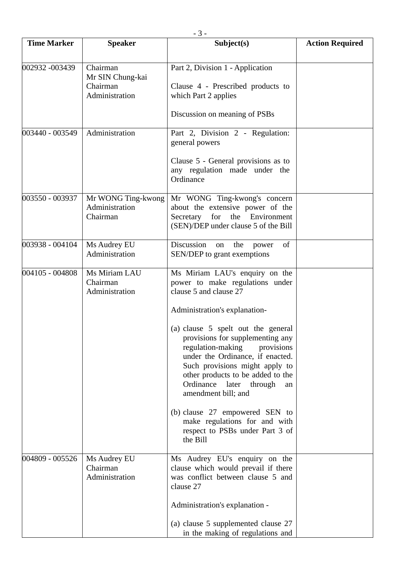|                    | $-3-$                                                      |                                                                                                                                                                                                                                                                                                                                                                                                                                                                                                                                   |                        |  |
|--------------------|------------------------------------------------------------|-----------------------------------------------------------------------------------------------------------------------------------------------------------------------------------------------------------------------------------------------------------------------------------------------------------------------------------------------------------------------------------------------------------------------------------------------------------------------------------------------------------------------------------|------------------------|--|
| <b>Time Marker</b> | <b>Speaker</b>                                             | Subject(s)                                                                                                                                                                                                                                                                                                                                                                                                                                                                                                                        | <b>Action Required</b> |  |
| 002932 -003439     | Chairman<br>Mr SIN Chung-kai<br>Chairman<br>Administration | Part 2, Division 1 - Application<br>Clause 4 - Prescribed products to<br>which Part 2 applies<br>Discussion on meaning of PSBs                                                                                                                                                                                                                                                                                                                                                                                                    |                        |  |
| 003440 - 003549    | Administration                                             | Part 2, Division 2 - Regulation:<br>general powers<br>Clause 5 - General provisions as to<br>any regulation made under the<br>Ordinance                                                                                                                                                                                                                                                                                                                                                                                           |                        |  |
| 003550 - 003937    | Mr WONG Ting-kwong<br>Administration<br>Chairman           | Mr WONG Ting-kwong's concern<br>about the extensive power of the<br>for<br>Secretary<br>Environment<br>the<br>(SEN)/DEP under clause 5 of the Bill                                                                                                                                                                                                                                                                                                                                                                                |                        |  |
| 003938 - 004104    | Ms Audrey EU<br>Administration                             | Discussion<br>the<br>of<br>on<br>power<br>SEN/DEP to grant exemptions                                                                                                                                                                                                                                                                                                                                                                                                                                                             |                        |  |
| 004105 - 004808    | Ms Miriam LAU<br>Chairman<br>Administration                | Ms Miriam LAU's enquiry on the<br>power to make regulations under<br>clause 5 and clause 27<br>Administration's explanation-<br>(a) clause 5 spelt out the general<br>provisions for supplementing any<br>regulation-making<br>provisions<br>under the Ordinance, if enacted.<br>Such provisions might apply to<br>other products to be added to the<br>Ordinance later<br>through<br>an<br>amendment bill; and<br>(b) clause 27 empowered SEN to<br>make regulations for and with<br>respect to PSBs under Part 3 of<br>the Bill |                        |  |
| 004809 - 005526    | Ms Audrey EU<br>Chairman<br>Administration                 | Ms Audrey EU's enquiry on the<br>clause which would prevail if there<br>was conflict between clause 5 and<br>clause 27<br>Administration's explanation -<br>(a) clause 5 supplemented clause 27<br>in the making of regulations and                                                                                                                                                                                                                                                                                               |                        |  |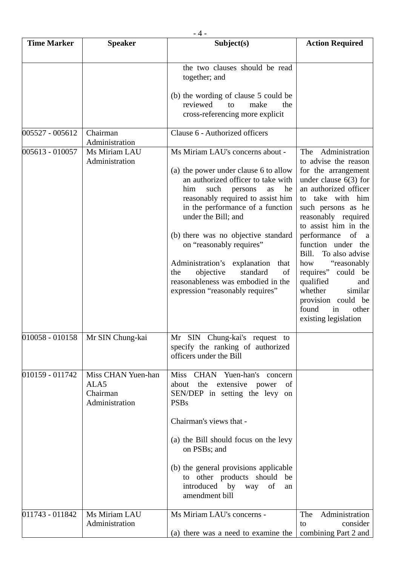|                    | $-4-$                                                    |                                                                                                                                                                                                                                                                                                                                                                                                                                                                               |                                                                                                                                                                                                                                                                                                                                                                                                                                                                         |  |
|--------------------|----------------------------------------------------------|-------------------------------------------------------------------------------------------------------------------------------------------------------------------------------------------------------------------------------------------------------------------------------------------------------------------------------------------------------------------------------------------------------------------------------------------------------------------------------|-------------------------------------------------------------------------------------------------------------------------------------------------------------------------------------------------------------------------------------------------------------------------------------------------------------------------------------------------------------------------------------------------------------------------------------------------------------------------|--|
| <b>Time Marker</b> | <b>Speaker</b>                                           | Subject(s)                                                                                                                                                                                                                                                                                                                                                                                                                                                                    | <b>Action Required</b>                                                                                                                                                                                                                                                                                                                                                                                                                                                  |  |
|                    |                                                          | the two clauses should be read<br>together; and<br>(b) the wording of clause 5 could be<br>reviewed<br>make<br>the<br>to<br>cross-referencing more explicit                                                                                                                                                                                                                                                                                                                   |                                                                                                                                                                                                                                                                                                                                                                                                                                                                         |  |
| 005527 - 005612    | Chairman<br>Administration                               | Clause 6 - Authorized officers                                                                                                                                                                                                                                                                                                                                                                                                                                                |                                                                                                                                                                                                                                                                                                                                                                                                                                                                         |  |
| 005613 - 010057    | Ms Miriam LAU<br>Administration                          | Ms Miriam LAU's concerns about -<br>(a) the power under clause 6 to allow<br>an authorized officer to take with<br>such<br>he<br>him<br>persons<br>as<br>reasonably required to assist him<br>in the performance of a function<br>under the Bill; and<br>(b) there was no objective standard<br>on "reasonably requires"<br>Administration's explanation that<br>objective<br>standard<br>of<br>the<br>reasonableness was embodied in the<br>expression "reasonably requires" | Administration<br>The<br>to advise the reason<br>for the arrangement<br>under clause $6(3)$ for<br>an authorized officer<br>to take with him<br>such persons as he<br>reasonably required<br>to assist him in the<br>of<br>performance<br><sub>a</sub><br>function under the<br>Bill.<br>To also advise<br>"reasonably"<br>how<br>requires"<br>could be<br>qualified<br>and<br>similar<br>whether<br>provision could be<br>found<br>other<br>in<br>existing legislation |  |
| 010058 - 010158    | Mr SIN Chung-kai                                         | Mr SIN Chung-kai's request to<br>specify the ranking of authorized<br>officers under the Bill                                                                                                                                                                                                                                                                                                                                                                                 |                                                                                                                                                                                                                                                                                                                                                                                                                                                                         |  |
| 010159 - 011742    | Miss CHAN Yuen-han<br>ALA5<br>Chairman<br>Administration | Miss CHAN Yuen-han's concern<br>about the extensive power<br>of<br>SEN/DEP in setting the levy on<br><b>PSBs</b><br>Chairman's views that -<br>(a) the Bill should focus on the levy<br>on PSBs; and<br>(b) the general provisions applicable<br>to other products should be<br>introduced<br>by<br>of<br>way<br>an<br>amendment bill                                                                                                                                         |                                                                                                                                                                                                                                                                                                                                                                                                                                                                         |  |
| 011743 - 011842    | Ms Miriam LAU<br>Administration                          | Ms Miriam LAU's concerns -<br>(a) there was a need to examine the                                                                                                                                                                                                                                                                                                                                                                                                             | Administration<br>The<br>consider<br>to<br>combining Part 2 and                                                                                                                                                                                                                                                                                                                                                                                                         |  |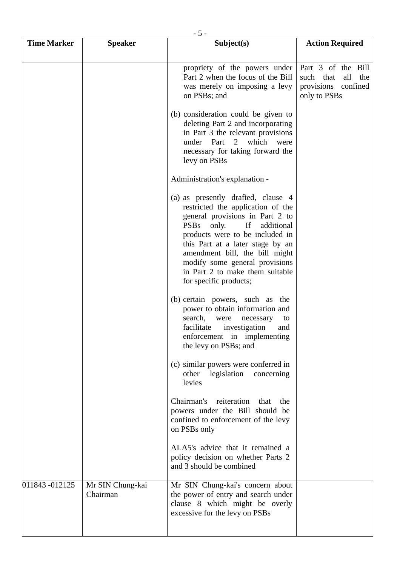|                    | $-5-$                        |                                                                                                                                                                                                                                                                                                                                                      |                                                                                      |  |
|--------------------|------------------------------|------------------------------------------------------------------------------------------------------------------------------------------------------------------------------------------------------------------------------------------------------------------------------------------------------------------------------------------------------|--------------------------------------------------------------------------------------|--|
| <b>Time Marker</b> | <b>Speaker</b>               | Subject(s)                                                                                                                                                                                                                                                                                                                                           | <b>Action Required</b>                                                               |  |
|                    |                              |                                                                                                                                                                                                                                                                                                                                                      |                                                                                      |  |
|                    |                              | propriety of the powers under<br>Part 2 when the focus of the Bill<br>was merely on imposing a levy<br>on PSBs; and                                                                                                                                                                                                                                  | Part 3 of the Bill<br>such that<br>all<br>the<br>provisions confined<br>only to PSBs |  |
|                    |                              | (b) consideration could be given to<br>deleting Part 2 and incorporating<br>in Part 3 the relevant provisions<br>under Part 2 which<br>were<br>necessary for taking forward the<br>levy on PSBs                                                                                                                                                      |                                                                                      |  |
|                    |                              | Administration's explanation -                                                                                                                                                                                                                                                                                                                       |                                                                                      |  |
|                    |                              | (a) as presently drafted, clause 4<br>restricted the application of the<br>general provisions in Part 2 to<br>PSBs only.<br>If<br>additional<br>products were to be included in<br>this Part at a later stage by an<br>amendment bill, the bill might<br>modify some general provisions<br>in Part 2 to make them suitable<br>for specific products; |                                                                                      |  |
|                    |                              | (b) certain powers, such as the<br>power to obtain information and<br>search,<br>were<br>necessary<br>to<br>facilitate<br>investigation<br>and<br>enforcement in implementing<br>the levy on PSBs; and                                                                                                                                               |                                                                                      |  |
|                    |                              | (c) similar powers were conferred in<br>legislation<br>other<br>concerning<br>levies                                                                                                                                                                                                                                                                 |                                                                                      |  |
|                    |                              | Chairman's reiteration<br>that<br>the<br>powers under the Bill should be<br>confined to enforcement of the levy<br>on PSBs only                                                                                                                                                                                                                      |                                                                                      |  |
|                    |                              | ALA5's advice that it remained a<br>policy decision on whether Parts 2<br>and 3 should be combined                                                                                                                                                                                                                                                   |                                                                                      |  |
| 011843 -012125     | Mr SIN Chung-kai<br>Chairman | Mr SIN Chung-kai's concern about<br>the power of entry and search under<br>clause 8 which might be overly<br>excessive for the levy on PSBs                                                                                                                                                                                                          |                                                                                      |  |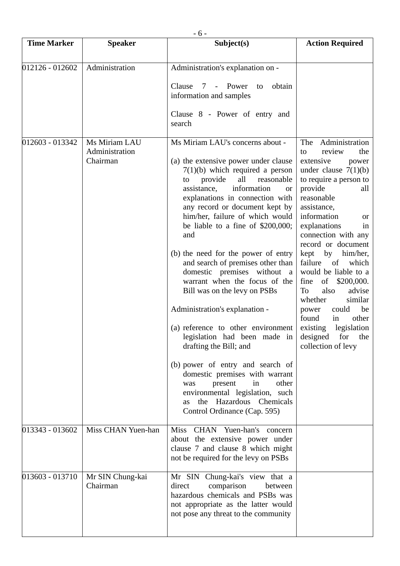|                    | $-6-$                                       |                                                                                                                                                                                                                                                                                                                                                                                                                                                                                                                                                                                                                                                                                                                                                                                                                                                                                     |                                                                                                                                                                                                                                                                                                                                                                                                                                                                                                                                                       |  |
|--------------------|---------------------------------------------|-------------------------------------------------------------------------------------------------------------------------------------------------------------------------------------------------------------------------------------------------------------------------------------------------------------------------------------------------------------------------------------------------------------------------------------------------------------------------------------------------------------------------------------------------------------------------------------------------------------------------------------------------------------------------------------------------------------------------------------------------------------------------------------------------------------------------------------------------------------------------------------|-------------------------------------------------------------------------------------------------------------------------------------------------------------------------------------------------------------------------------------------------------------------------------------------------------------------------------------------------------------------------------------------------------------------------------------------------------------------------------------------------------------------------------------------------------|--|
| <b>Time Marker</b> | <b>Speaker</b>                              | Subject(s)                                                                                                                                                                                                                                                                                                                                                                                                                                                                                                                                                                                                                                                                                                                                                                                                                                                                          | <b>Action Required</b>                                                                                                                                                                                                                                                                                                                                                                                                                                                                                                                                |  |
| 012126 - 012602    | Administration                              | Administration's explanation on -<br>Power<br>obtain<br>Clause<br>7<br>$\overline{\phantom{a}}$<br>to<br>information and samples<br>Clause 8 - Power of entry and<br>search                                                                                                                                                                                                                                                                                                                                                                                                                                                                                                                                                                                                                                                                                                         |                                                                                                                                                                                                                                                                                                                                                                                                                                                                                                                                                       |  |
| 012603 - 013342    | Ms Miriam LAU<br>Administration<br>Chairman | Ms Miriam LAU's concerns about -<br>(a) the extensive power under clause<br>$7(1)(b)$ which required a person<br>provide<br>all<br>reasonable<br>to<br>information<br>assistance,<br><b>or</b><br>explanations in connection with<br>any record or document kept by<br>him/her, failure of which would<br>be liable to a fine of $$200,000;$<br>and<br>(b) the need for the power of entry<br>and search of premises other than<br>domestic premises without a<br>warrant when the focus of the<br>Bill was on the levy on PSBs<br>Administration's explanation -<br>(a) reference to other environment<br>legislation had been made in<br>drafting the Bill; and<br>(b) power of entry and search of<br>domestic premises with warrant<br>other<br>present<br>in<br>was<br>environmental legislation, such<br>the Hazardous Chemicals<br><b>as</b><br>Control Ordinance (Cap. 595) | Administration<br>The<br>review<br>the<br>to<br>extensive<br>power<br>under clause $7(1)(b)$<br>to require a person to<br>provide<br>all<br>reasonable<br>assistance,<br>information<br><b>or</b><br>explanations<br>in<br>connection with any<br>record or document<br>kept<br>by<br>him/her,<br>failure<br>of<br>which<br>would be liable to a<br>of<br>\$200,000.<br>fine<br>also<br>To<br>advise<br>whether<br>similar<br>be<br>could<br>power<br>found<br>other<br>in<br>legislation<br>existing<br>designed<br>for<br>the<br>collection of levy |  |
| 013343 - 013602    | Miss CHAN Yuen-han                          | CHAN Yuen-han's concern<br><b>Miss</b><br>about the extensive power under<br>clause 7 and clause 8 which might<br>not be required for the levy on PSBs                                                                                                                                                                                                                                                                                                                                                                                                                                                                                                                                                                                                                                                                                                                              |                                                                                                                                                                                                                                                                                                                                                                                                                                                                                                                                                       |  |
| 013603 - 013710    | Mr SIN Chung-kai<br>Chairman                | Mr SIN Chung-kai's view that a<br>direct<br>comparison<br>between<br>hazardous chemicals and PSBs was<br>not appropriate as the latter would<br>not pose any threat to the community                                                                                                                                                                                                                                                                                                                                                                                                                                                                                                                                                                                                                                                                                                |                                                                                                                                                                                                                                                                                                                                                                                                                                                                                                                                                       |  |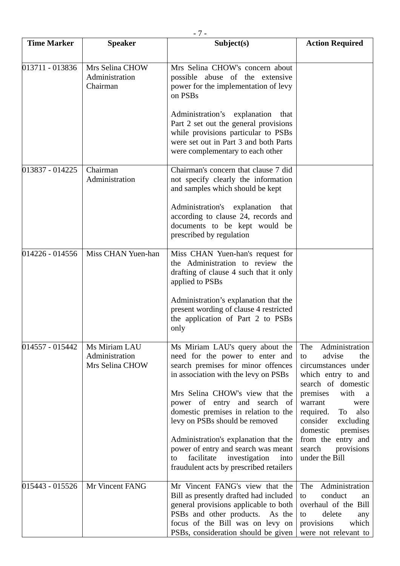| - 7 -              |                                                    |                                                                                                                                                                                                                                                                                                                                                                                                                                                                       |                                                                                                                                                                                                                                                                                                         |
|--------------------|----------------------------------------------------|-----------------------------------------------------------------------------------------------------------------------------------------------------------------------------------------------------------------------------------------------------------------------------------------------------------------------------------------------------------------------------------------------------------------------------------------------------------------------|---------------------------------------------------------------------------------------------------------------------------------------------------------------------------------------------------------------------------------------------------------------------------------------------------------|
| <b>Time Marker</b> | <b>Speaker</b>                                     | Subject(s)                                                                                                                                                                                                                                                                                                                                                                                                                                                            | <b>Action Required</b>                                                                                                                                                                                                                                                                                  |
| 013711 - 013836    | Mrs Selina CHOW<br>Administration<br>Chairman      | Mrs Selina CHOW's concern about<br>possible abuse of the extensive<br>power for the implementation of levy<br>on PSBs<br>Administration's explanation<br>that<br>Part 2 set out the general provisions<br>while provisions particular to PSBs<br>were set out in Part 3 and both Parts<br>were complementary to each other                                                                                                                                            |                                                                                                                                                                                                                                                                                                         |
| 013837 - 014225    | Chairman<br>Administration                         | Chairman's concern that clause 7 did<br>not specify clearly the information<br>and samples which should be kept<br>Administration's explanation<br>that<br>according to clause 24, records and<br>documents to be kept would be<br>prescribed by regulation                                                                                                                                                                                                           |                                                                                                                                                                                                                                                                                                         |
| 014226 - 014556    | Miss CHAN Yuen-han                                 | Miss CHAN Yuen-han's request for<br>the Administration to review the<br>drafting of clause 4 such that it only<br>applied to PSBs<br>Administration's explanation that the<br>present wording of clause 4 restricted<br>the application of Part 2 to PSBs<br>only                                                                                                                                                                                                     |                                                                                                                                                                                                                                                                                                         |
| 014557 - 015442    | Ms Miriam LAU<br>Administration<br>Mrs Selina CHOW | Ms Miriam LAU's query about the<br>need for the power to enter and<br>search premises for minor offences<br>in association with the levy on PSBs<br>Mrs Selina CHOW's view that the<br>power of entry and search of<br>domestic premises in relation to the<br>levy on PSBs should be removed<br>Administration's explanation that the<br>power of entry and search was meant<br>facilitate<br>investigation<br>into<br>to<br>fraudulent acts by prescribed retailers | Administration<br>The<br>advise<br>the<br>to<br>circumstances under<br>which entry to and<br>search of domestic<br>premises<br>with<br>a<br>warrant<br>were<br>required.<br>To<br>also<br>consider<br>excluding<br>domestic<br>premises<br>from the entry and<br>search<br>provisions<br>under the Bill |
| 015443 - 015526    | Mr Vincent FANG                                    | Mr Vincent FANG's view that the<br>Bill as presently drafted had included<br>general provisions applicable to both<br>PSBs and other products. As the<br>focus of the Bill was on levy on<br>PSBs, consideration should be given                                                                                                                                                                                                                                      | Administration<br>The<br>conduct<br>to<br>an<br>overhaul of the Bill<br>delete<br>to<br>any<br>which<br>provisions<br>were not relevant to                                                                                                                                                              |